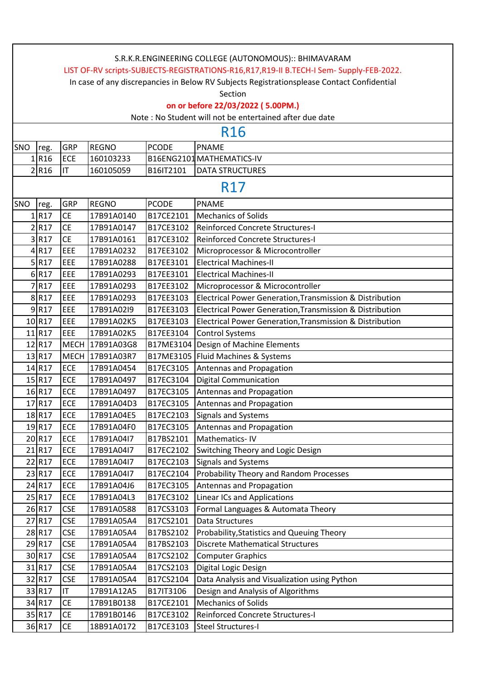|     | S.R.K.R.ENGINEERING COLLEGE (AUTONOMOUS):: BHIMAVARAM                                      |            |                 |              |                                                          |  |  |  |
|-----|--------------------------------------------------------------------------------------------|------------|-----------------|--------------|----------------------------------------------------------|--|--|--|
|     | LIST OF-RV scripts-SUBJECTS-REGISTRATIONS-R16,R17,R19-II B.TECH-I Sem- Supply-FEB-2022.    |            |                 |              |                                                          |  |  |  |
|     | In case of any discrepancies in Below RV Subjects Registrationsplease Contact Confidential |            |                 |              |                                                          |  |  |  |
|     | Section                                                                                    |            |                 |              |                                                          |  |  |  |
|     | on or before 22/03/2022 (5.00PM.)                                                          |            |                 |              |                                                          |  |  |  |
|     |                                                                                            |            |                 |              | Note : No Student will not be entertained after due date |  |  |  |
|     | R <sub>16</sub>                                                                            |            |                 |              |                                                          |  |  |  |
| SNO | reg.                                                                                       | GRP        | <b>REGNO</b>    | <b>PCODE</b> | <b>PNAME</b>                                             |  |  |  |
|     | $1$ R <sub>16</sub>                                                                        | <b>ECE</b> | 160103233       |              | B16ENG2101 MATHEMATICS-IV                                |  |  |  |
|     | 2 R <sub>16</sub>                                                                          | IT         | 160105059       | B16IT2101    | <b>DATA STRUCTURES</b>                                   |  |  |  |
|     |                                                                                            |            |                 |              | <b>R17</b>                                               |  |  |  |
| SNO | reg.                                                                                       | GRP        | <b>REGNO</b>    | <b>PCODE</b> | <b>PNAME</b>                                             |  |  |  |
|     | 1 R17                                                                                      | <b>CE</b>  | 17B91A0140      | B17CE2101    | <b>Mechanics of Solids</b>                               |  |  |  |
|     | $2$ R17                                                                                    | <b>CE</b>  | 17B91A0147      | B17CE3102    | <b>Reinforced Concrete Structures-I</b>                  |  |  |  |
|     | 3R17                                                                                       | <b>CE</b>  | 17B91A0161      | B17CE3102    | Reinforced Concrete Structures-I                         |  |  |  |
|     | $4$ R17                                                                                    | EEE        | 17B91A0232      | B17EE3102    | Microprocessor & Microcontroller                         |  |  |  |
|     | 5 R17                                                                                      | EEE        | 17B91A0288      | B17EE3101    | <b>Electrical Machines-II</b>                            |  |  |  |
|     | 6 R17                                                                                      | EEE        | 17B91A0293      | B17EE3101    | <b>Electrical Machines-II</b>                            |  |  |  |
|     | 7R17                                                                                       | EEE        | 17B91A0293      | B17EE3102    | Microprocessor & Microcontroller                         |  |  |  |
|     | 8 R17                                                                                      | EEE        | 17B91A0293      | B17EE3103    | Electrical Power Generation, Transmission & Distribution |  |  |  |
|     | 9 R17                                                                                      | EEE        | 17B91A02I9      | B17EE3103    | Electrical Power Generation, Transmission & Distribution |  |  |  |
|     | 10 R17                                                                                     | EEE        | 17B91A02K5      | B17EE3103    | Electrical Power Generation, Transmission & Distribution |  |  |  |
|     | 11 R17                                                                                     | EEE        | 17B91A02K5      | B17EE3104    | <b>Control Systems</b>                                   |  |  |  |
|     | 12 R17                                                                                     |            | MECH 17B91A03G8 | B17ME3104    | Design of Machine Elements                               |  |  |  |
|     | 13 R17                                                                                     |            | MECH 17B91A03R7 |              | B17ME3105   Fluid Machines & Systems                     |  |  |  |
|     | 14 R17                                                                                     | <b>ECE</b> | 17B91A0454      | B17EC3105    | Antennas and Propagation                                 |  |  |  |
|     | 15 R17                                                                                     | <b>ECE</b> | 17B91A0497      | B17EC3104    | <b>Digital Communication</b>                             |  |  |  |
|     | 16 R17                                                                                     | <b>ECE</b> | 17B91A0497      | B17EC3105    | Antennas and Propagation                                 |  |  |  |
|     | 17 R17                                                                                     | <b>ECE</b> | 17B91A04D3      | B17EC3105    | Antennas and Propagation                                 |  |  |  |
|     | 18 R17                                                                                     | <b>ECE</b> | 17B91A04E5      | B17EC2103    | Signals and Systems                                      |  |  |  |
|     | 19 R17                                                                                     | ECE        | 17B91A04F0      | B17EC3105    | Antennas and Propagation                                 |  |  |  |
|     | 20 R17                                                                                     | <b>ECE</b> | 17B91A04I7      | B17BS2101    | Mathematics-IV                                           |  |  |  |
|     | 21 R17                                                                                     | ECE        | 17B91A04I7      | B17EC2102    | Switching Theory and Logic Design                        |  |  |  |
|     | 22 R17                                                                                     | <b>ECE</b> | 17B91A04I7      | B17EC2103    | Signals and Systems                                      |  |  |  |
|     | 23 R17                                                                                     | <b>ECE</b> | 17B91A04I7      | B17EC2104    | Probability Theory and Random Processes                  |  |  |  |
|     | 24 R17                                                                                     | <b>ECE</b> | 17B91A04J6      | B17EC3105    | Antennas and Propagation                                 |  |  |  |
|     | 25 R17                                                                                     | ECE        | 17B91A04L3      | B17EC3102    | <b>Linear ICs and Applications</b>                       |  |  |  |
|     | 26 R17                                                                                     | <b>CSE</b> | 17B91A0588      | B17CS3103    | Formal Languages & Automata Theory                       |  |  |  |
|     | 27 R17                                                                                     | <b>CSE</b> | 17B91A05A4      | B17CS2101    | Data Structures                                          |  |  |  |
|     | 28 R17                                                                                     | <b>CSE</b> | 17B91A05A4      | B17BS2102    | Probability, Statistics and Queuing Theory               |  |  |  |
|     | 29 R17                                                                                     | <b>CSE</b> | 17B91A05A4      | B17BS2103    | <b>Discrete Mathematical Structures</b>                  |  |  |  |
|     | 30 R17                                                                                     | <b>CSE</b> | 17B91A05A4      | B17CS2102    | <b>Computer Graphics</b>                                 |  |  |  |
|     | 31 R17                                                                                     | <b>CSE</b> | 17B91A05A4      | B17CS2103    | Digital Logic Design                                     |  |  |  |
|     | 32 R17                                                                                     | <b>CSE</b> | 17B91A05A4      | B17CS2104    | Data Analysis and Visualization using Python             |  |  |  |
|     | 33 R17                                                                                     | IT.        | 17B91A12A5      | B17IT3106    | Design and Analysis of Algorithms                        |  |  |  |
|     | 34 R17                                                                                     | CE         | 17B91B0138      | B17CE2101    | <b>Mechanics of Solids</b>                               |  |  |  |
|     | 35 R17                                                                                     | <b>CE</b>  | 17B91B0146      | B17CE3102    | Reinforced Concrete Structures-I                         |  |  |  |
|     | 36 R17                                                                                     | <b>CE</b>  | 18B91A0172      | B17CE3103    | Steel Structures-I                                       |  |  |  |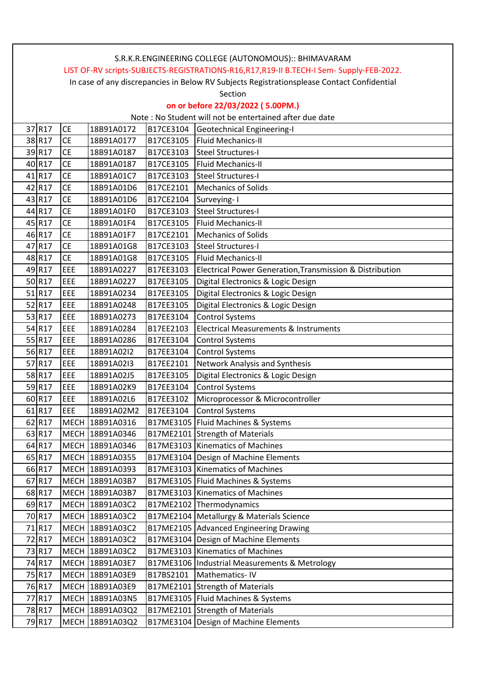| S.R.K.R.ENGINEERING COLLEGE (AUTONOMOUS):: BHIMAVARAM                                      |           |                 |           |                                                          |  |  |
|--------------------------------------------------------------------------------------------|-----------|-----------------|-----------|----------------------------------------------------------|--|--|
| LIST OF-RV scripts-SUBJECTS-REGISTRATIONS-R16,R17,R19-II B.TECH-I Sem- Supply-FEB-2022.    |           |                 |           |                                                          |  |  |
| In case of any discrepancies in Below RV Subjects Registrationsplease Contact Confidential |           |                 |           |                                                          |  |  |
| Section                                                                                    |           |                 |           |                                                          |  |  |
| on or before 22/03/2022 (5.00PM.)                                                          |           |                 |           |                                                          |  |  |
| Note: No Student will not be entertained after due date                                    |           |                 |           |                                                          |  |  |
| 37 R17                                                                                     | <b>CE</b> | 18B91A0172      | B17CE3104 | Geotechnical Engineering-I                               |  |  |
| 38 R17                                                                                     | <b>CE</b> | 18B91A0177      | B17CE3105 | Fluid Mechanics-II                                       |  |  |
| 39R17                                                                                      | <b>CE</b> | 18B91A0187      | B17CE3103 | Steel Structures-I                                       |  |  |
| 40 R17                                                                                     | <b>CE</b> | 18B91A0187      | B17CE3105 | Fluid Mechanics-II                                       |  |  |
| 41 R17                                                                                     | <b>CE</b> | 18B91A01C7      | B17CE3103 | Steel Structures-I                                       |  |  |
| 42 R17                                                                                     | <b>CE</b> | 18B91A01D6      | B17CE2101 | Mechanics of Solids                                      |  |  |
| 43 R17                                                                                     | <b>CE</b> | 18B91A01D6      | B17CE2104 | Surveying-1                                              |  |  |
| 44 R17                                                                                     | <b>CE</b> | 18B91A01F0      | B17CE3103 | Steel Structures-I                                       |  |  |
| 45 R17                                                                                     | <b>CE</b> | 18B91A01F4      | B17CE3105 | Fluid Mechanics-II                                       |  |  |
| 46 R17                                                                                     | <b>CE</b> | 18B91A01F7      | B17CE2101 | <b>Mechanics of Solids</b>                               |  |  |
| 47 R17                                                                                     | <b>CE</b> | 18B91A01G8      | B17CE3103 | Steel Structures-I                                       |  |  |
| 48 R17                                                                                     | <b>CE</b> | 18B91A01G8      | B17CE3105 | Fluid Mechanics-II                                       |  |  |
| 49 R17                                                                                     | EEE       | 18B91A0227      | B17EE3103 | Electrical Power Generation, Transmission & Distribution |  |  |
| 50 R17                                                                                     | EEE       | 18B91A0227      | B17EE3105 | Digital Electronics & Logic Design                       |  |  |
| 51 R17                                                                                     | EEE       | 18B91A0234      | B17EE3105 | Digital Electronics & Logic Design                       |  |  |
| 52 R17                                                                                     | EEE       | 18B91A0248      | B17EE3105 | Digital Electronics & Logic Design                       |  |  |
| 53 R17                                                                                     | EEE       | 18B91A0273      | B17EE3104 | <b>Control Systems</b>                                   |  |  |
| 54 R17                                                                                     | EEE       | 18B91A0284      | B17EE2103 | Electrical Measurements & Instruments                    |  |  |
| 55 R17                                                                                     | EEE       | 18B91A0286      | B17EE3104 | <b>Control Systems</b>                                   |  |  |
| 56 R17                                                                                     | EEE       | 18B91A02I2      | B17EE3104 | <b>Control Systems</b>                                   |  |  |
| 57 R17                                                                                     | EEE       | 18B91A02I3      | B17EE2101 | Network Analysis and Synthesis                           |  |  |
| 58 R17                                                                                     | EEE       | 18B91A02J5      | B17EE3105 | Digital Electronics & Logic Design                       |  |  |
| 59 R17                                                                                     | EEE       | 18B91A02K9      | B17EE3104 | <b>Control Systems</b>                                   |  |  |
| 60 R17                                                                                     | EEE       | 18B91A02L6      | B17EE3102 | Microprocessor & Microcontroller                         |  |  |
| 61 R17                                                                                     | EEE       | 18B91A02M2      | B17EE3104 | Control Systems                                          |  |  |
| 62 R17                                                                                     |           | MECH 18B91A0316 |           | B17ME3105   Fluid Machines & Systems                     |  |  |
| 63 R17                                                                                     |           | MECH 18B91A0346 |           | B17ME2101 Strength of Materials                          |  |  |
| 64 R17                                                                                     |           | MECH 18B91A0346 |           | B17ME3103 Kinematics of Machines                         |  |  |
| 65 R17                                                                                     |           | MECH 18B91A0355 |           | B17ME3104 Design of Machine Elements                     |  |  |
| 66 R17                                                                                     |           | MECH 18B91A0393 |           | B17ME3103 Kinematics of Machines                         |  |  |
| 67 R17                                                                                     |           | MECH 18B91A03B7 |           | B17ME3105   Fluid Machines & Systems                     |  |  |
| 68 R17                                                                                     |           | MECH 18B91A03B7 |           | B17ME3103   Kinematics of Machines                       |  |  |
| 69 R17                                                                                     |           | MECH 18B91A03C2 |           | B17ME2102 Thermodynamics                                 |  |  |
| 70 R17                                                                                     |           | MECH 18B91A03C2 |           | B17ME2104 Metallurgy & Materials Science                 |  |  |
| 71 R17                                                                                     |           | MECH 18B91A03C2 |           | B17ME2105 Advanced Engineering Drawing                   |  |  |
| 72 R17                                                                                     |           | MECH 18B91A03C2 |           | B17ME3104 Design of Machine Elements                     |  |  |
| 73 R17                                                                                     |           | MECH 18B91A03C2 |           | B17ME3103 Kinematics of Machines                         |  |  |
| 74 R17                                                                                     |           | MECH 18B91A03E7 |           | B17ME3106   Industrial Measurements & Metrology          |  |  |
| 75 R17                                                                                     |           | MECH 18B91A03E9 | B17BS2101 | Mathematics-IV                                           |  |  |
| 76 R17                                                                                     |           | MECH 18B91A03E9 |           | B17ME2101 Strength of Materials                          |  |  |
| 77 R17                                                                                     |           | MECH 18B91A03N5 |           | B17ME3105   Fluid Machines & Systems                     |  |  |
| 78 R17                                                                                     |           | MECH 18B91A03Q2 |           | B17ME2101 Strength of Materials                          |  |  |
| 79 R17                                                                                     |           | MECH 18B91A03Q2 |           | B17ME3104 Design of Machine Elements                     |  |  |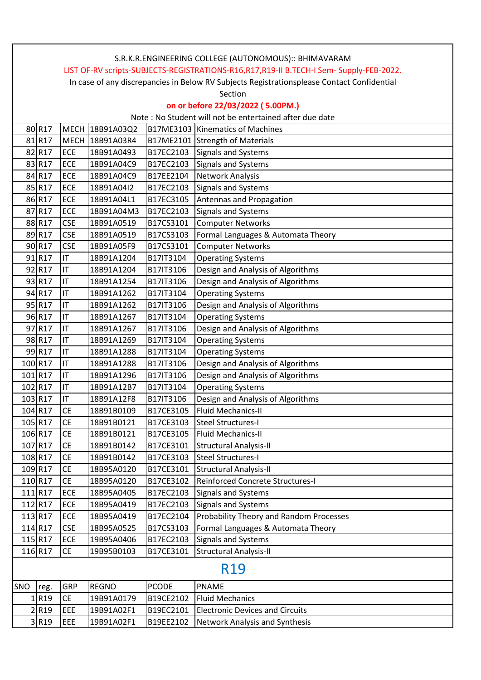|         |                                                                                            |            |                 |              | S.R.K.R.ENGINEERING COLLEGE (AUTONOMOUS):: BHIMAVARAM   |  |  |  |
|---------|--------------------------------------------------------------------------------------------|------------|-----------------|--------------|---------------------------------------------------------|--|--|--|
|         | LIST OF-RV scripts-SUBJECTS-REGISTRATIONS-R16,R17,R19-II B.TECH-I Sem- Supply-FEB-2022.    |            |                 |              |                                                         |  |  |  |
|         | In case of any discrepancies in Below RV Subjects Registrationsplease Contact Confidential |            |                 |              |                                                         |  |  |  |
|         | Section                                                                                    |            |                 |              |                                                         |  |  |  |
|         | on or before 22/03/2022 (5.00PM.)                                                          |            |                 |              |                                                         |  |  |  |
|         |                                                                                            |            |                 |              | Note: No Student will not be entertained after due date |  |  |  |
|         | 80 R17                                                                                     |            | MECH 18B91A03Q2 |              | B17ME3103 Kinematics of Machines                        |  |  |  |
|         | 81 R17                                                                                     |            | MECH 18B91A03R4 |              | B17ME2101 Strength of Materials                         |  |  |  |
|         | 82 R17                                                                                     | ECE        | 18B91A0493      | B17EC2103    | Signals and Systems                                     |  |  |  |
|         | 83 R17                                                                                     | <b>ECE</b> | 18B91A04C9      | B17EC2103    | Signals and Systems                                     |  |  |  |
|         | 84 R17                                                                                     | ECE        | 18B91A04C9      | B17EE2104    | Network Analysis                                        |  |  |  |
|         | 85 R17                                                                                     | ECE        | 18B91A04I2      | B17EC2103    | Signals and Systems                                     |  |  |  |
|         | 86 R17                                                                                     | ECE        | 18B91A04L1      | B17EC3105    | Antennas and Propagation                                |  |  |  |
|         | 87 R17                                                                                     | ECE        | 18B91A04M3      | B17EC2103    | Signals and Systems                                     |  |  |  |
|         | 88 R17                                                                                     | <b>CSE</b> | 18B91A0519      | B17CS3101    | <b>Computer Networks</b>                                |  |  |  |
|         | 89 R17                                                                                     | <b>CSE</b> | 18B91A0519      | B17CS3103    | Formal Languages & Automata Theory                      |  |  |  |
|         | 90 R17                                                                                     | <b>CSE</b> | 18B91A05F9      | B17CS3101    | <b>Computer Networks</b>                                |  |  |  |
|         | 91 R17                                                                                     | ΙT         | 18B91A1204      | B17IT3104    | <b>Operating Systems</b>                                |  |  |  |
|         | 92 R17                                                                                     | IT         | 18B91A1204      | B17IT3106    | Design and Analysis of Algorithms                       |  |  |  |
|         | 93 R17                                                                                     | IT         | 18B91A1254      | B17IT3106    | Design and Analysis of Algorithms                       |  |  |  |
|         | 94 R17                                                                                     | ΙT         | 18B91A1262      | B17IT3104    | <b>Operating Systems</b>                                |  |  |  |
|         | 95 R17                                                                                     | IT         | 18B91A1262      | B17IT3106    | Design and Analysis of Algorithms                       |  |  |  |
|         | 96 R17                                                                                     | ΙT         | 18B91A1267      | B17IT3104    | <b>Operating Systems</b>                                |  |  |  |
|         | 97 R17                                                                                     | IT         | 18B91A1267      | B17IT3106    | Design and Analysis of Algorithms                       |  |  |  |
|         | 98 R17                                                                                     | IT         | 18B91A1269      | B17IT3104    | <b>Operating Systems</b>                                |  |  |  |
|         | 99 R17                                                                                     | IT         | 18B91A1288      | B17IT3104    | <b>Operating Systems</b>                                |  |  |  |
|         | 100 R17                                                                                    | IT         | 18B91A1288      | B17IT3106    | Design and Analysis of Algorithms                       |  |  |  |
| 101 R17 |                                                                                            | ΙT         | 18B91A1296      | B17IT3106    | Design and Analysis of Algorithms                       |  |  |  |
|         | 102 R17                                                                                    | IT         | 18B91A12B7      | B17IT3104    | <b>Operating Systems</b>                                |  |  |  |
|         | 103 R17                                                                                    | IT         | 18B91A12F8      | B17IT3106    | Design and Analysis of Algorithms                       |  |  |  |
| 104 R17 |                                                                                            | <b>ICE</b> | 18B91B0109      | B17CE3105    | Fluid Mechanics-II                                      |  |  |  |
|         | 105 R17                                                                                    | <b>CE</b>  | 18B91B0121      | B17CE3103    | <b>Steel Structures-I</b>                               |  |  |  |
|         | 106 R17                                                                                    | <b>CE</b>  | 18B91B0121      | B17CE3105    | Fluid Mechanics-II                                      |  |  |  |
|         | 107 R17                                                                                    | CE         | 18B91B0142      | B17CE3101    | <b>Structural Analysis-II</b>                           |  |  |  |
|         | 108 R17                                                                                    | <b>CE</b>  | 18B91B0142      | B17CE3103    | <b>Steel Structures-I</b>                               |  |  |  |
|         | 109 R17                                                                                    | <b>CE</b>  | 18B95A0120      | B17CE3101    | <b>Structural Analysis-II</b>                           |  |  |  |
|         | 110 R17                                                                                    | <b>CE</b>  | 18B95A0120      | B17CE3102    | Reinforced Concrete Structures-I                        |  |  |  |
|         | 111 R17                                                                                    | ECE        | 18B95A0405      | B17EC2103    | Signals and Systems                                     |  |  |  |
|         | 112 R17                                                                                    | ECE        | 18B95A0419      | B17EC2103    | <b>Signals and Systems</b>                              |  |  |  |
|         | 113 R17                                                                                    | ECE        | 18B95A0419      | B17EC2104    | Probability Theory and Random Processes                 |  |  |  |
|         | 114 R17                                                                                    | <b>CSE</b> | 18B95A0525      | B17CS3103    | Formal Languages & Automata Theory                      |  |  |  |
|         | 115 R17                                                                                    | ECE        | 19B95A0406      | B17EC2103    | Signals and Systems                                     |  |  |  |
|         | 116 R17                                                                                    | <b>CE</b>  | 19B95B0103      | B17CE3101    | <b>Structural Analysis-II</b>                           |  |  |  |
|         | <b>R19</b>                                                                                 |            |                 |              |                                                         |  |  |  |
| SNO     | reg.                                                                                       | GRP        | <b>REGNO</b>    | <b>PCODE</b> | <b>PNAME</b>                                            |  |  |  |
|         | 1R19                                                                                       | <b>CE</b>  | 19B91A0179      | B19CE2102    | <b>Fluid Mechanics</b>                                  |  |  |  |
|         | 2 R <sub>19</sub>                                                                          | EEE        | 19B91A02F1      | B19EC2101    | <b>Electronic Devices and Circuits</b>                  |  |  |  |
|         | 3 R19                                                                                      | EEE        | 19B91A02F1      | B19EE2102    | Network Analysis and Synthesis                          |  |  |  |
|         |                                                                                            |            |                 |              |                                                         |  |  |  |